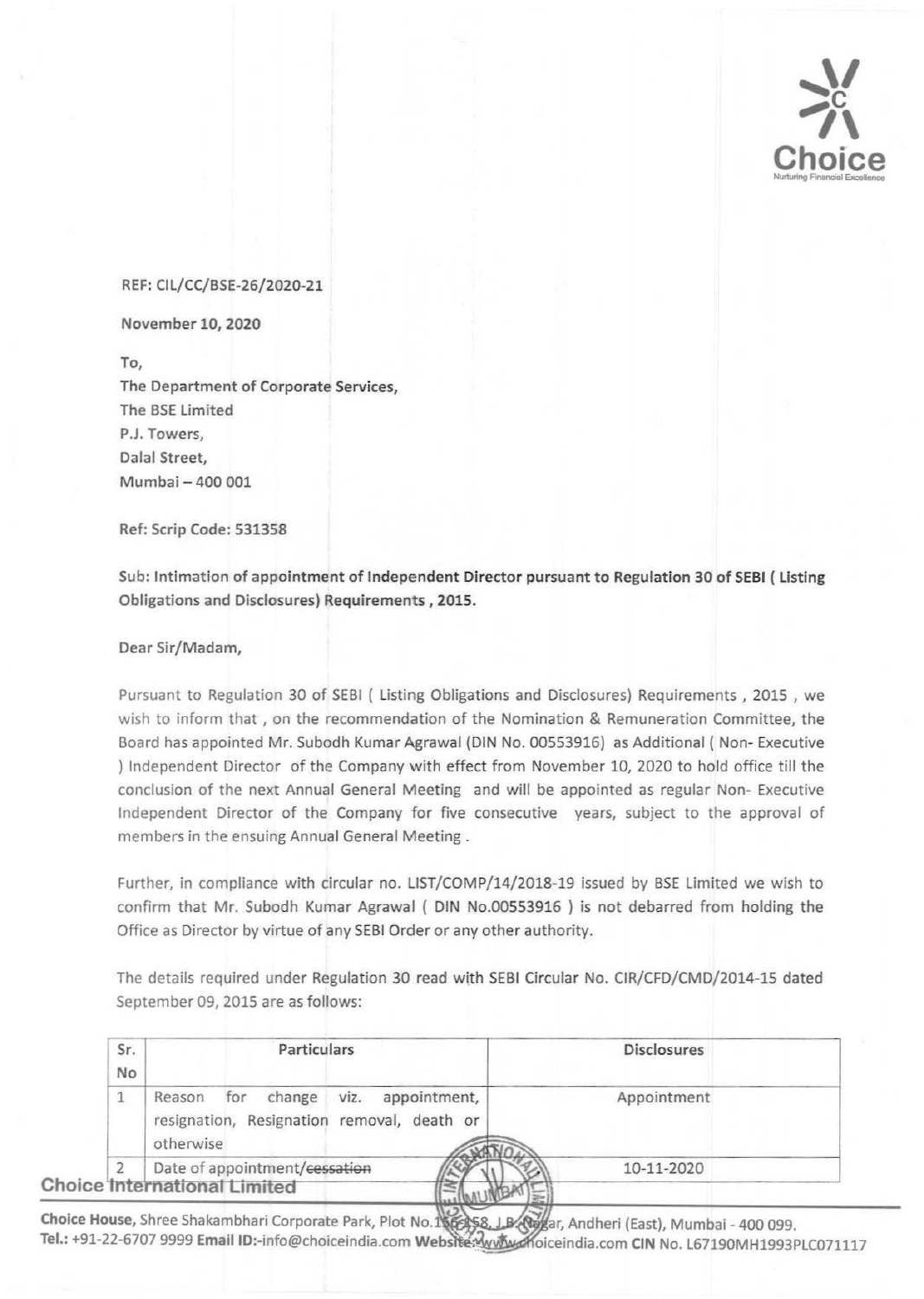

## REF: Cll/CC/BSE-26/2020-21

November 10, *2020* 

To, The Department of Corporate Services, The BSE limited P.J. Towers, Dalal Street, Mumbai- 400 001

Ref: Scrip Code: 531358

Sub: Intimation of appointment of Independent Director pursuant to Regulation 30 of SEBI {listing Obligations and Disclosures) Requirements, 2015.

Dear Sir/Madam,

Pursuant to Regulation 30 of SEBI ( listing Obligations and Disclosures) Requirements , 2015 , we wish to inform that , on the recommendation of the Nomination & Remuneration Committee, the Board has appointed Mr. Subodh Kumar Agrawal (DIN No. 00553916) as Additional ( Non- Executive ) Independent Director of the Company with effect from November 10, 2020 to hold office till the conclusion of the next Annual General Meeting and will be appointed as regular Non- Executive Independent Director of the Company for five consecutive years, subject to the approval of members in the ensuing Annual General Meeting .

Further, in compliance with circular no. LIST/COMP/14/2018-19 issued by BSE limited we wish to confirm that Mr. Subodh Kumar Agrawal ( DIN No.00553916 ) is not debarred from holding the Office as Director by virtue of any SEBI Order or any other authority.

The details required under Regulation 30 read with SEBI Circular No. CIR/CFD/CMD/2014-15 dated September 09, 2015 are as follows:

| Sr.<br><b>No</b> | Particulars                                                                                                | <b>Disclosures</b> |
|------------------|------------------------------------------------------------------------------------------------------------|--------------------|
|                  | for<br>change<br>viz.<br>appointment,<br>Reason<br>resignation, Resignation removal, death or<br>otherwise | Appointment        |
|                  | Date of appointment/cessation<br><b>Choice International Limited</b>                                       | 10-11-2020         |

Choice House, Shree Shakambhari Corporate Park, Plot No.156258, LB Ng/ar, Andheri (East), Mumbai - 400 099. Tel.: +91-22-6707 9999 Email ID:-info@choiceindia.com Website: www.moiceindia.com CIN No. L67190MH1993PLC071117